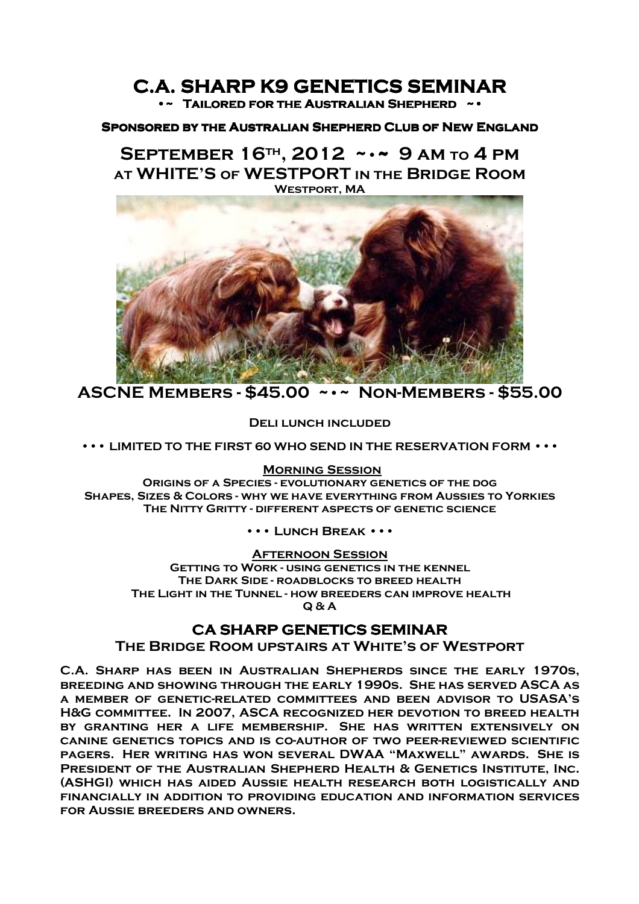## **C.A. SHARP K9 GENETICS SEMINAR SEMINAR •~ Tailored Tailored for the Australian Shepherd ~• for the Australian ~•**

#### **Sponsored by the Australian Shepherd Club of New England**

 $S$ **EPTEMBER 16<sup>TH</sup>, 2012 ~ • ~ 9 AM TO 4 PM at WHITE'S of WESTPORT in the Bridge Room Westport, MA** 



**ASCNE Members - \$45.00 ~•~ Non-Members - \$55.00** 

**Deli lunch included** 

**••• LIMITED TO THE FIRST 60 WHO SEND IN THE RESERVATION FORM •••** 

#### **Morning Session**

**Origins of a Species - evolutionary genetics of the dog Shapes, Sizes & Colors - why we have everything from Aussies to Yorkies The Nitty Gritty - different aspects of genetic science** 

**••• Lunch Break •••**

#### **Afternoon Session**

**Getting to Work - using genetics in the kennel The Dark Side - roadblocks to breed health The Light in the Tunnel - how breeders can improve health Q & A** 

## **CA SHARP GENETICS SEMINAR**

**The Bridge Room upstairs at White's of Westport** 

**C.A. Sharp has been in Australian Shepherds since the early 1970s, breeding and showing through the early 1990s. She has served ASCA as a member of genetic-related committees and been advisor to USASA's H&G committee. In 2007, ASCA recognized her devotion to breed health by granting her a life membership. She has written extensively on canine genetics topics and is co-author of two peer-reviewed scientific pagers. Her writing has won several DWAA "Maxwell" awards. She is President of the Australian Shepherd Health & Genetics Institute, Inc. (ASHGI) which has aided Aussie health research both logistically and financially in addition to providing education and information services for Aussie breeders and owners.**